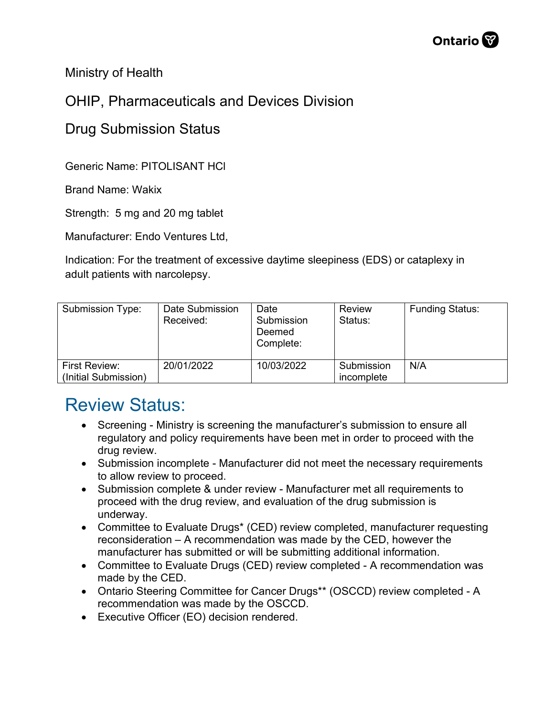

Ministry of Health

## OHIP, Pharmaceuticals and Devices Division

## Drug Submission Status

Generic Name: PITOLISANT HCl

Brand Name: Wakix

Strength: 5 mg and 20 mg tablet

Manufacturer: Endo Ventures Ltd,

Indication: For the treatment of excessive daytime sleepiness (EDS) or cataplexy in adult patients with narcolepsy.

| Submission Type:                      | Date Submission<br>Received: | Date<br>Submission<br>Deemed<br>Complete: | <b>Review</b><br>Status: | <b>Funding Status:</b> |
|---------------------------------------|------------------------------|-------------------------------------------|--------------------------|------------------------|
| First Review:<br>(Initial Submission) | 20/01/2022                   | 10/03/2022                                | Submission<br>incomplete | N/A                    |

## Review Status:

- Screening Ministry is screening the manufacturer's submission to ensure all regulatory and policy requirements have been met in order to proceed with the drug review.
- Submission incomplete Manufacturer did not meet the necessary requirements to allow review to proceed.
- Submission complete & under review Manufacturer met all requirements to proceed with the drug review, and evaluation of the drug submission is underway.
- Committee to Evaluate Drugs\* (CED) review completed, manufacturer requesting reconsideration – A recommendation was made by the CED, however the manufacturer has submitted or will be submitting additional information.
- Committee to Evaluate Drugs (CED) review completed A recommendation was made by the CED.
- Ontario Steering Committee for Cancer Drugs\*\* (OSCCD) review completed A recommendation was made by the OSCCD.
- Executive Officer (EO) decision rendered.